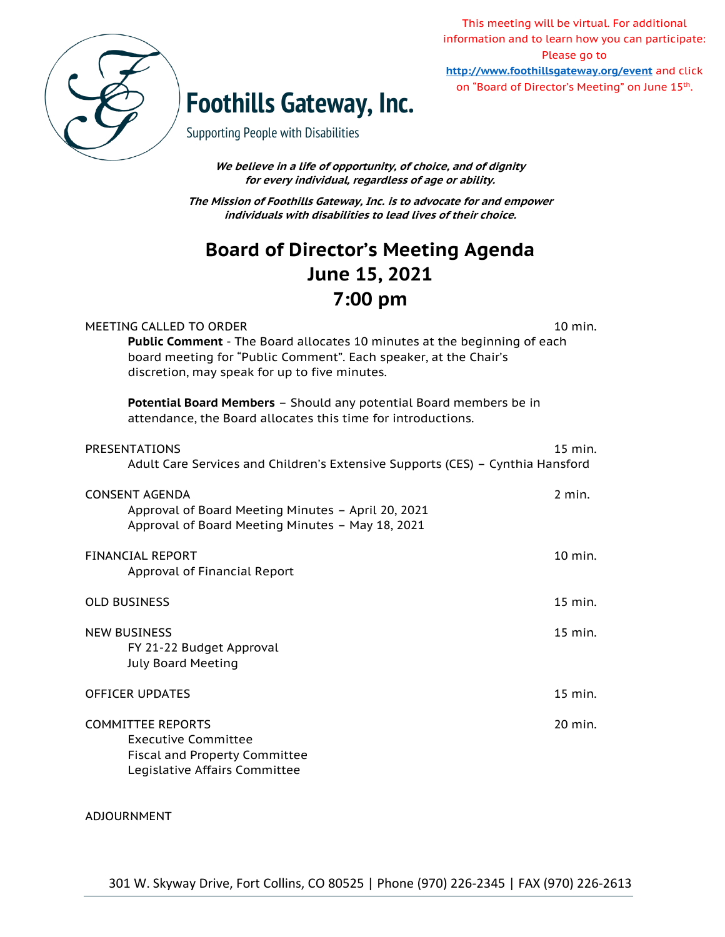

This meeting will be virtual. For additional information and to learn how you can participate: Please go to **<http://www.foothillsgateway.org/event>** and click on "Board of Director's Meeting" on June 15<sup>th</sup>.

# **Foothills Gateway, Inc.**

Supporting People with Disabilities

**We believe in a life of opportunity, of choice, and of dignity for every individual, regardless of age or ability.**

**The Mission of Foothills Gateway, Inc. is to advocate for and empower individuals with disabilities to lead lives of their choice.**

## **Board of Director's Meeting Agenda June 15, 2021 7:00 pm**

| MEETING CALLED TO ORDER<br>Public Comment - The Board allocates 10 minutes at the beginning of each<br>board meeting for "Public Comment". Each speaker, at the Chair's<br>discretion, may speak for up to five minutes. | 10 min.   |
|--------------------------------------------------------------------------------------------------------------------------------------------------------------------------------------------------------------------------|-----------|
| Potential Board Members - Should any potential Board members be in<br>attendance, the Board allocates this time for introductions.                                                                                       |           |
| <b>PRESENTATIONS</b><br>Adult Care Services and Children's Extensive Supports (CES) - Cynthia Hansford                                                                                                                   | $15$ min. |
| <b>CONSENT AGENDA</b><br>Approval of Board Meeting Minutes - April 20, 2021<br>Approval of Board Meeting Minutes - May 18, 2021                                                                                          | $2$ min.  |
| <b>FINANCIAL REPORT</b><br>Approval of Financial Report                                                                                                                                                                  | 10 min.   |
| <b>OLD BUSINESS</b>                                                                                                                                                                                                      | 15 min.   |
| <b>NEW BUSINESS</b><br>FY 21-22 Budget Approval<br><b>July Board Meeting</b>                                                                                                                                             | 15 min.   |
| <b>OFFICER UPDATES</b>                                                                                                                                                                                                   | 15 min.   |
| <b>COMMITTEE REPORTS</b><br><b>Executive Committee</b><br><b>Fiscal and Property Committee</b><br>Legislative Affairs Committee                                                                                          | 20 min.   |

#### ADJOURNMENT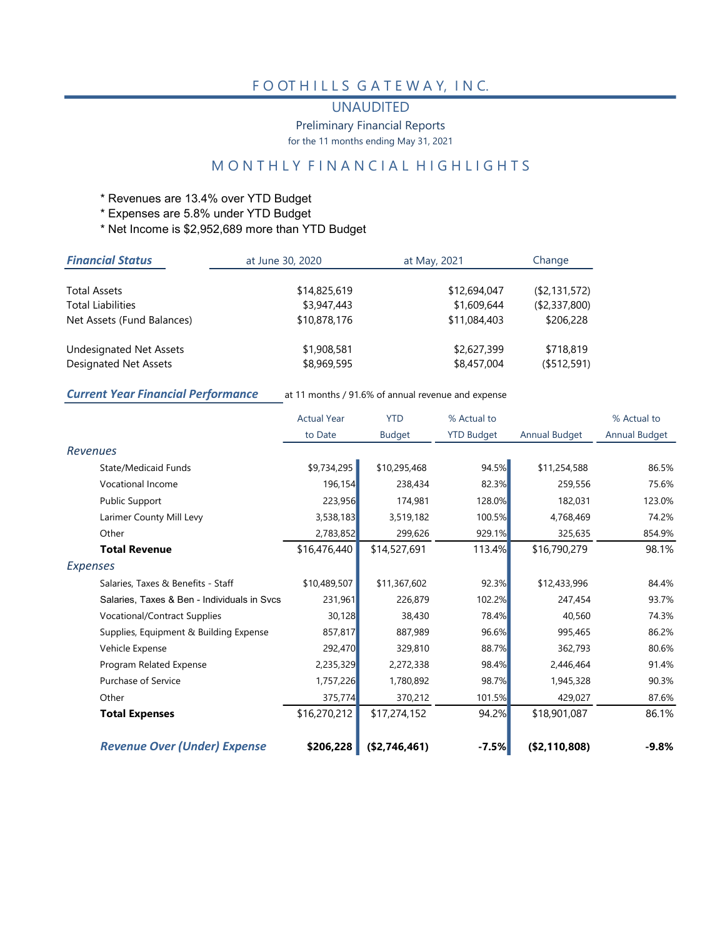#### F O OT HILLS GATEWAY, INC.

#### UNAUDITED

Preliminary Financial Reports

for the 11 months ending May 31, 2021

### M O N T H L Y F I N A N C I A L H I G H L I G H T S

- \* Revenues are 13.4% over YTD Budget
- \* Expenses are 5.8% under YTD Budget
- \* Net Income is \$2,952,689 more than YTD Budget

| <b>Financial Status</b>                                        | at June 30, 2020           | at May, 2021               | Change                   |
|----------------------------------------------------------------|----------------------------|----------------------------|--------------------------|
| <b>Total Assets</b>                                            | \$14,825,619               | \$12,694,047               | $($ \$2,131,572)         |
| <b>Total Liabilities</b>                                       | \$3,947,443                | \$1,609,644                | ( \$2,337,800)           |
| Net Assets (Fund Balances)                                     | \$10,878,176               | \$11,084,403               | \$206,228                |
| <b>Undesignated Net Assets</b><br><b>Designated Net Assets</b> | \$1,908,581<br>\$8,969,595 | \$2,627,399<br>\$8,457,004 | \$718,819<br>(\$512,591) |
|                                                                |                            |                            |                          |

Current Year Financial Performance at 11 months / 91.6% of annual revenue and expense

|                                             | <b>Actual Year</b> | <b>YTD</b>    | % Actual to       |               | % Actual to   |
|---------------------------------------------|--------------------|---------------|-------------------|---------------|---------------|
|                                             | to Date            | <b>Budget</b> | <b>YTD Budget</b> | Annual Budget | Annual Budget |
| <b>Revenues</b>                             |                    |               |                   |               |               |
| <b>State/Medicaid Funds</b>                 | \$9,734,295        | \$10,295,468  | 94.5%             | \$11,254,588  | 86.5%         |
| Vocational Income                           | 196,154            | 238,434       | 82.3%             | 259,556       | 75.6%         |
| <b>Public Support</b>                       | 223,956            | 174,981       | 128.0%            | 182,031       | 123.0%        |
| Larimer County Mill Levy                    | 3,538,183          | 3,519,182     | 100.5%            | 4,768,469     | 74.2%         |
| Other                                       | 2,783,852          | 299,626       | 929.1%            | 325,635       | 854.9%        |
| <b>Total Revenue</b>                        | \$16,476,440       | \$14,527,691  | 113.4%            | \$16,790,279  | 98.1%         |
| <b>Expenses</b>                             |                    |               |                   |               |               |
| Salaries, Taxes & Benefits - Staff          | \$10,489,507       | \$11,367,602  | 92.3%             | \$12,433,996  | 84.4%         |
| Salaries, Taxes & Ben - Individuals in Svcs | 231,961            | 226,879       | 102.2%            | 247.454       | 93.7%         |
| <b>Vocational/Contract Supplies</b>         | 30,128             | 38,430        | 78.4%             | 40,560        | 74.3%         |
| Supplies, Equipment & Building Expense      | 857,817            | 887,989       | 96.6%             | 995,465       | 86.2%         |
| Vehicle Expense                             | 292,470            | 329,810       | 88.7%             | 362,793       | 80.6%         |
| Program Related Expense                     | 2,235,329          | 2,272,338     | 98.4%             | 2,446,464     | 91.4%         |
| <b>Purchase of Service</b>                  | 1,757,226          | 1,780,892     | 98.7%             | 1,945,328     | 90.3%         |
| Other                                       | 375,774            | 370,212       | 101.5%            | 429,027       | 87.6%         |
| <b>Total Expenses</b>                       | \$16,270,212       | \$17,274,152  | 94.2%             | \$18,901,087  | 86.1%         |
| <b>Revenue Over (Under) Expense</b>         | \$206,228          | (\$2,746,461) | $-7.5%$           | (\$2,110,808) | $-9.8\%$      |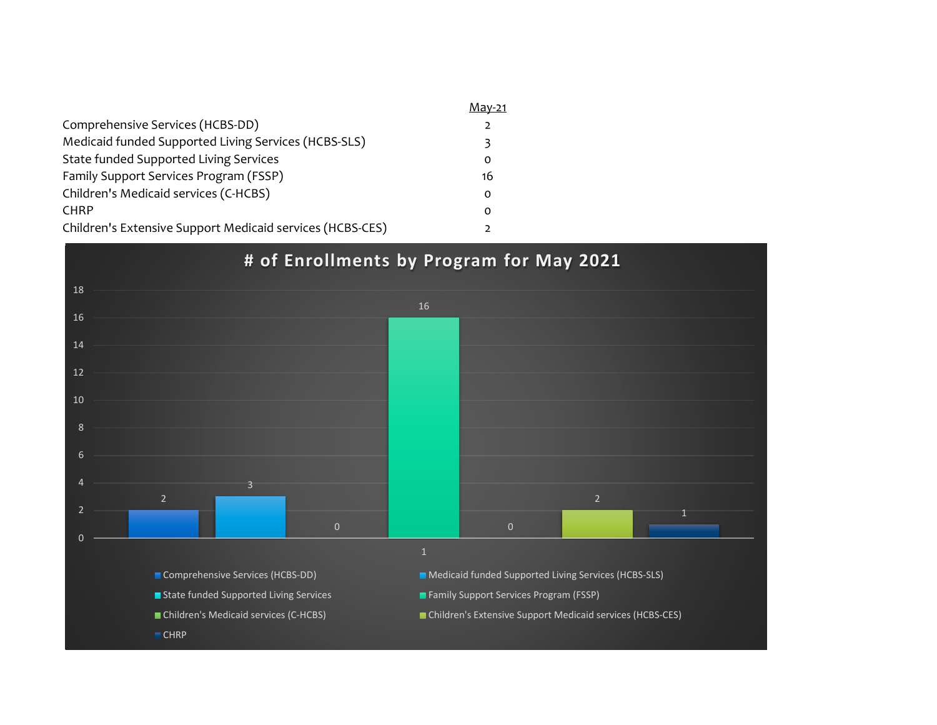|                                                           | Mav-21   |
|-----------------------------------------------------------|----------|
| Comprehensive Services (HCBS-DD)                          |          |
| Medicaid funded Supported Living Services (HCBS-SLS)      |          |
| State funded Supported Living Services                    | O        |
| Family Support Services Program (FSSP)                    | 16       |
| Children's Medicaid services (C-HCBS)                     | $\Omega$ |
| <b>CHRP</b>                                               | $\Omega$ |
| Children's Extensive Support Medicaid services (HCBS-CES) |          |

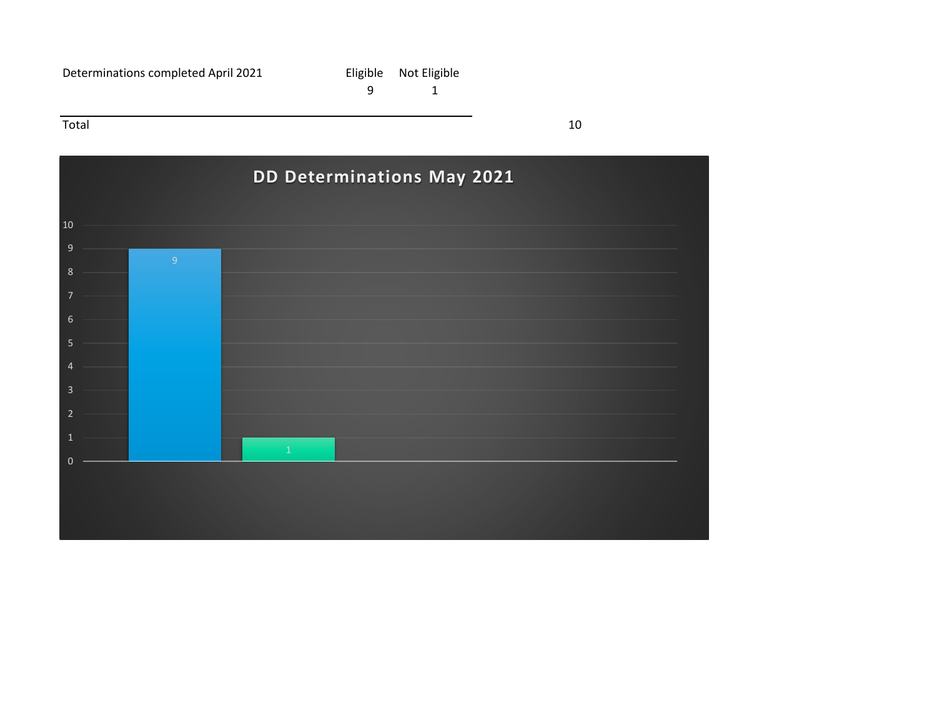